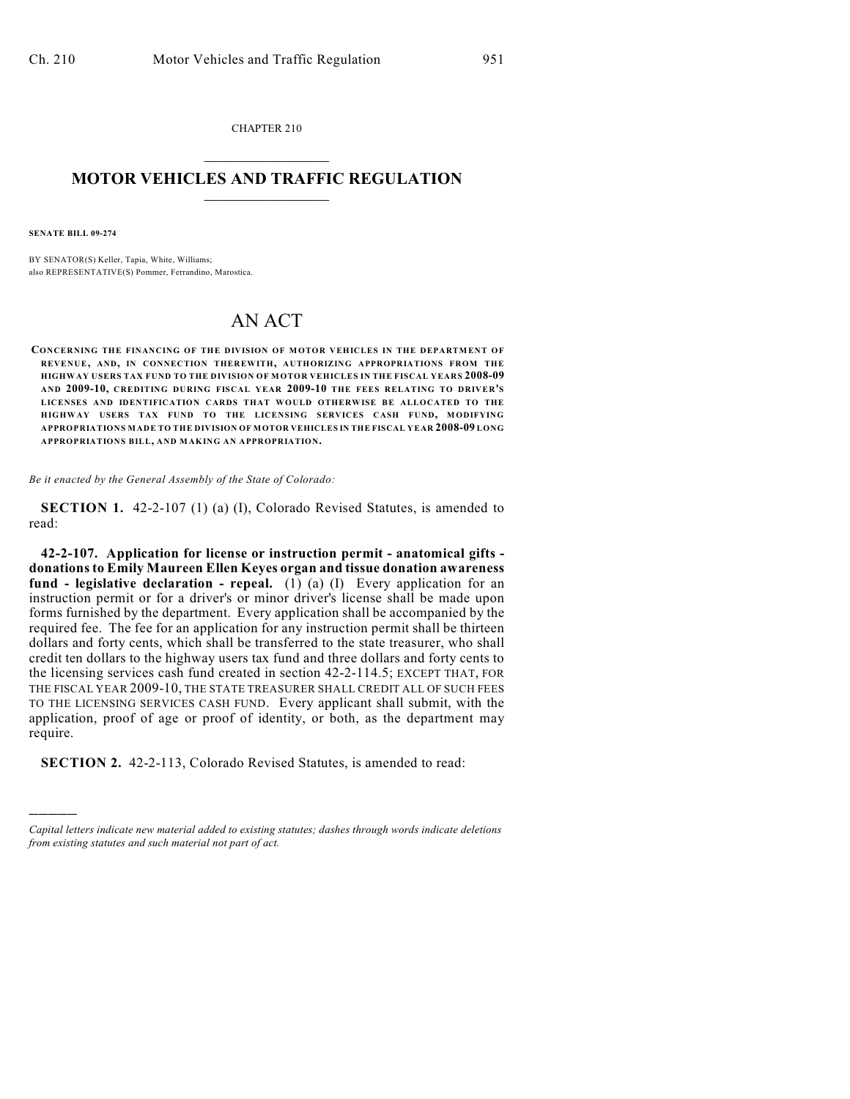CHAPTER 210  $\overline{\phantom{a}}$  . The set of the set of the set of the set of the set of the set of the set of the set of the set of the set of the set of the set of the set of the set of the set of the set of the set of the set of the set o

## **MOTOR VEHICLES AND TRAFFIC REGULATION**  $\frac{1}{2}$  ,  $\frac{1}{2}$  ,  $\frac{1}{2}$  ,  $\frac{1}{2}$  ,  $\frac{1}{2}$  ,  $\frac{1}{2}$  ,  $\frac{1}{2}$  ,  $\frac{1}{2}$

**SENATE BILL 09-274**

)))))

BY SENATOR(S) Keller, Tapia, White, Williams; also REPRESENTATIVE(S) Pommer, Ferrandino, Marostica.

## AN ACT

**CONCERNING THE FINANCING OF THE DIVISION OF MOTOR VEHICLES IN THE DEPARTMENT OF REVENUE, AND, IN CONNECTION THEREWITH, AUTHORIZING APPROPRIATIONS FROM THE HIGHWAY USERS TAX FUND TO THE DIVISION OF M OTOR VEHICLES IN THE FISCAL YEARS 2008-09 AND 2009-10, CREDITING DURING FISCAL YEAR 2009-10 THE FEES RELATING TO DRIVER'S LICENSES AND IDENTIFICATION CARDS THAT WOULD OTHERWISE BE ALLOCATED TO THE HIGHWAY USERS TAX FUND TO THE LICENSING SERVICES CASH FUND, MODIFYING APPROPRIATIONS MADE TO THE DIVISION OF MOTOR VEHICLES IN THE FISCAL YEAR 2008-09 LONG APPROPRIATIONS BILL, AND MAKING AN APPROPRIATION.**

*Be it enacted by the General Assembly of the State of Colorado:*

**SECTION 1.** 42-2-107 (1) (a) (I), Colorado Revised Statutes, is amended to read:

**42-2-107. Application for license or instruction permit - anatomical gifts donations to Emily Maureen Ellen Keyes organ and tissue donation awareness fund - legislative declaration - repeal.** (1) (a) (I) Every application for an instruction permit or for a driver's or minor driver's license shall be made upon forms furnished by the department. Every application shall be accompanied by the required fee. The fee for an application for any instruction permit shall be thirteen dollars and forty cents, which shall be transferred to the state treasurer, who shall credit ten dollars to the highway users tax fund and three dollars and forty cents to the licensing services cash fund created in section 42-2-114.5; EXCEPT THAT, FOR THE FISCAL YEAR 2009-10, THE STATE TREASURER SHALL CREDIT ALL OF SUCH FEES TO THE LICENSING SERVICES CASH FUND. Every applicant shall submit, with the application, proof of age or proof of identity, or both, as the department may require.

**SECTION 2.** 42-2-113, Colorado Revised Statutes, is amended to read:

*Capital letters indicate new material added to existing statutes; dashes through words indicate deletions from existing statutes and such material not part of act.*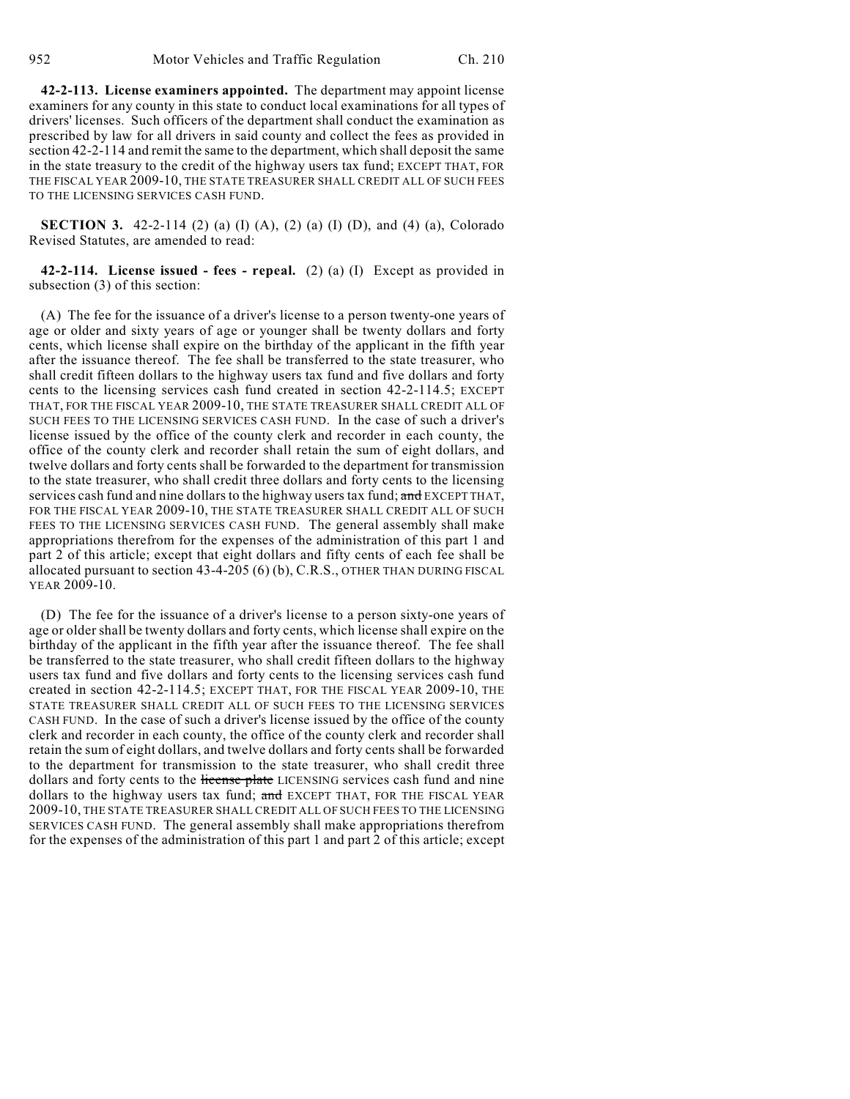**42-2-113. License examiners appointed.** The department may appoint license examiners for any county in this state to conduct local examinations for all types of drivers' licenses. Such officers of the department shall conduct the examination as prescribed by law for all drivers in said county and collect the fees as provided in section 42-2-114 and remit the same to the department, which shall deposit the same in the state treasury to the credit of the highway users tax fund; EXCEPT THAT, FOR THE FISCAL YEAR 2009-10, THE STATE TREASURER SHALL CREDIT ALL OF SUCH FEES TO THE LICENSING SERVICES CASH FUND.

**SECTION 3.** 42-2-114 (2) (a) (I) (A), (2) (a) (I) (D), and (4) (a), Colorado Revised Statutes, are amended to read:

**42-2-114. License issued - fees - repeal.** (2) (a) (I) Except as provided in subsection (3) of this section:

(A) The fee for the issuance of a driver's license to a person twenty-one years of age or older and sixty years of age or younger shall be twenty dollars and forty cents, which license shall expire on the birthday of the applicant in the fifth year after the issuance thereof. The fee shall be transferred to the state treasurer, who shall credit fifteen dollars to the highway users tax fund and five dollars and forty cents to the licensing services cash fund created in section 42-2-114.5; EXCEPT THAT, FOR THE FISCAL YEAR 2009-10, THE STATE TREASURER SHALL CREDIT ALL OF SUCH FEES TO THE LICENSING SERVICES CASH FUND. In the case of such a driver's license issued by the office of the county clerk and recorder in each county, the office of the county clerk and recorder shall retain the sum of eight dollars, and twelve dollars and forty cents shall be forwarded to the department for transmission to the state treasurer, who shall credit three dollars and forty cents to the licensing services cash fund and nine dollars to the highway users tax fund; and EXCEPT THAT, FOR THE FISCAL YEAR 2009-10, THE STATE TREASURER SHALL CREDIT ALL OF SUCH FEES TO THE LICENSING SERVICES CASH FUND. The general assembly shall make appropriations therefrom for the expenses of the administration of this part 1 and part 2 of this article; except that eight dollars and fifty cents of each fee shall be allocated pursuant to section 43-4-205 (6) (b), C.R.S., OTHER THAN DURING FISCAL YEAR 2009-10.

(D) The fee for the issuance of a driver's license to a person sixty-one years of age or older shall be twenty dollars and forty cents, which license shall expire on the birthday of the applicant in the fifth year after the issuance thereof. The fee shall be transferred to the state treasurer, who shall credit fifteen dollars to the highway users tax fund and five dollars and forty cents to the licensing services cash fund created in section 42-2-114.5; EXCEPT THAT, FOR THE FISCAL YEAR 2009-10, THE STATE TREASURER SHALL CREDIT ALL OF SUCH FEES TO THE LICENSING SERVICES CASH FUND. In the case of such a driver's license issued by the office of the county clerk and recorder in each county, the office of the county clerk and recorder shall retain the sum of eight dollars, and twelve dollars and forty cents shall be forwarded to the department for transmission to the state treasurer, who shall credit three dollars and forty cents to the license plate LICENSING services cash fund and nine dollars to the highway users tax fund; and EXCEPT THAT, FOR THE FISCAL YEAR 2009-10, THE STATE TREASURER SHALL CREDIT ALL OF SUCH FEES TO THE LICENSING SERVICES CASH FUND. The general assembly shall make appropriations therefrom for the expenses of the administration of this part 1 and part 2 of this article; except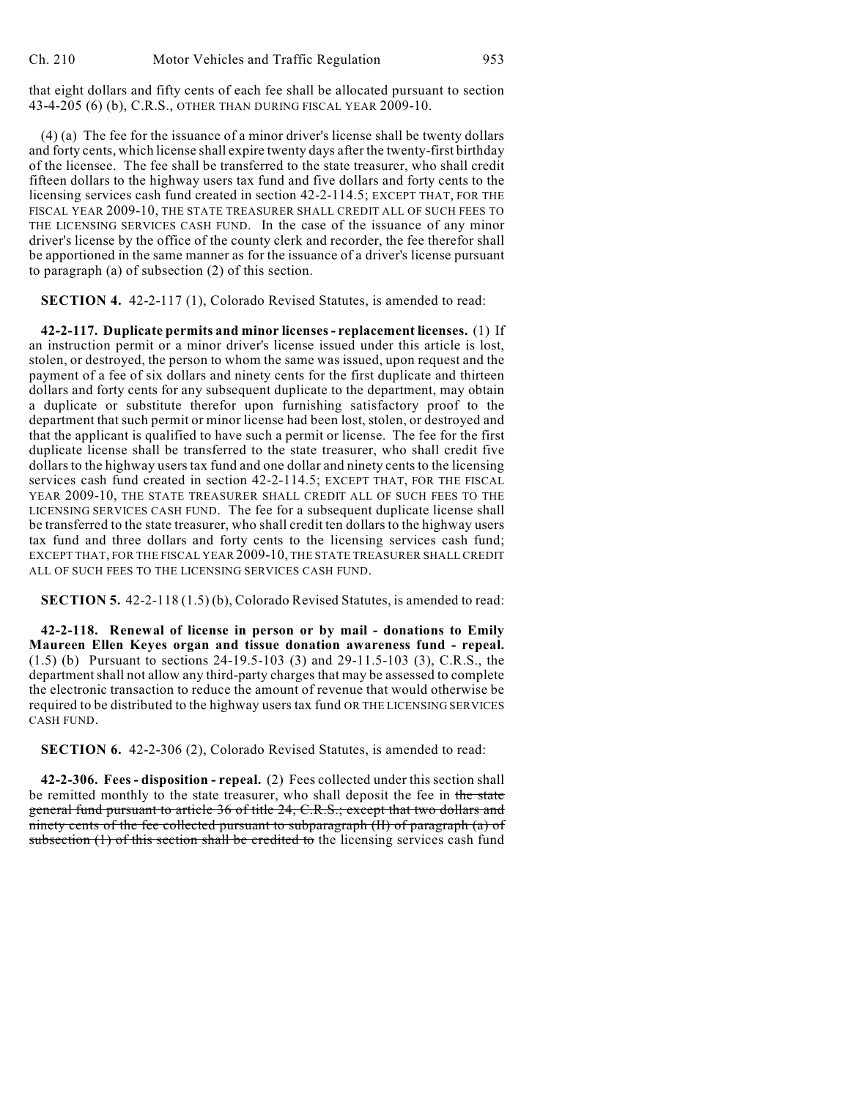that eight dollars and fifty cents of each fee shall be allocated pursuant to section 43-4-205 (6) (b), C.R.S., OTHER THAN DURING FISCAL YEAR 2009-10.

(4) (a) The fee for the issuance of a minor driver's license shall be twenty dollars and forty cents, which license shall expire twenty days after the twenty-first birthday of the licensee. The fee shall be transferred to the state treasurer, who shall credit fifteen dollars to the highway users tax fund and five dollars and forty cents to the licensing services cash fund created in section 42-2-114.5; EXCEPT THAT, FOR THE FISCAL YEAR 2009-10, THE STATE TREASURER SHALL CREDIT ALL OF SUCH FEES TO THE LICENSING SERVICES CASH FUND. In the case of the issuance of any minor driver's license by the office of the county clerk and recorder, the fee therefor shall be apportioned in the same manner as for the issuance of a driver's license pursuant to paragraph (a) of subsection (2) of this section.

**SECTION 4.** 42-2-117 (1), Colorado Revised Statutes, is amended to read:

**42-2-117. Duplicate permits and minor licenses - replacement licenses.** (1) If an instruction permit or a minor driver's license issued under this article is lost, stolen, or destroyed, the person to whom the same was issued, upon request and the payment of a fee of six dollars and ninety cents for the first duplicate and thirteen dollars and forty cents for any subsequent duplicate to the department, may obtain a duplicate or substitute therefor upon furnishing satisfactory proof to the department that such permit or minor license had been lost, stolen, or destroyed and that the applicant is qualified to have such a permit or license. The fee for the first duplicate license shall be transferred to the state treasurer, who shall credit five dollars to the highway users tax fund and one dollar and ninety cents to the licensing services cash fund created in section 42-2-114.5; EXCEPT THAT, FOR THE FISCAL YEAR 2009-10, THE STATE TREASURER SHALL CREDIT ALL OF SUCH FEES TO THE LICENSING SERVICES CASH FUND. The fee for a subsequent duplicate license shall be transferred to the state treasurer, who shall credit ten dollars to the highway users tax fund and three dollars and forty cents to the licensing services cash fund; EXCEPT THAT, FOR THE FISCAL YEAR 2009-10, THE STATE TREASURER SHALL CREDIT ALL OF SUCH FEES TO THE LICENSING SERVICES CASH FUND.

**SECTION 5.** 42-2-118 (1.5) (b), Colorado Revised Statutes, is amended to read:

**42-2-118. Renewal of license in person or by mail - donations to Emily Maureen Ellen Keyes organ and tissue donation awareness fund - repeal.** (1.5) (b) Pursuant to sections 24-19.5-103 (3) and 29-11.5-103 (3), C.R.S., the department shall not allow any third-party charges that may be assessed to complete the electronic transaction to reduce the amount of revenue that would otherwise be required to be distributed to the highway users tax fund OR THE LICENSING SERVICES CASH FUND.

**SECTION 6.** 42-2-306 (2), Colorado Revised Statutes, is amended to read:

**42-2-306. Fees - disposition - repeal.** (2) Fees collected under this section shall be remitted monthly to the state treasurer, who shall deposit the fee in the state general fund pursuant to article 36 of title 24, C.R.S.; except that two dollars and ninety cents of the fee collected pursuant to subparagraph (II) of paragraph (a) of subsection (1) of this section shall be credited to the licensing services cash fund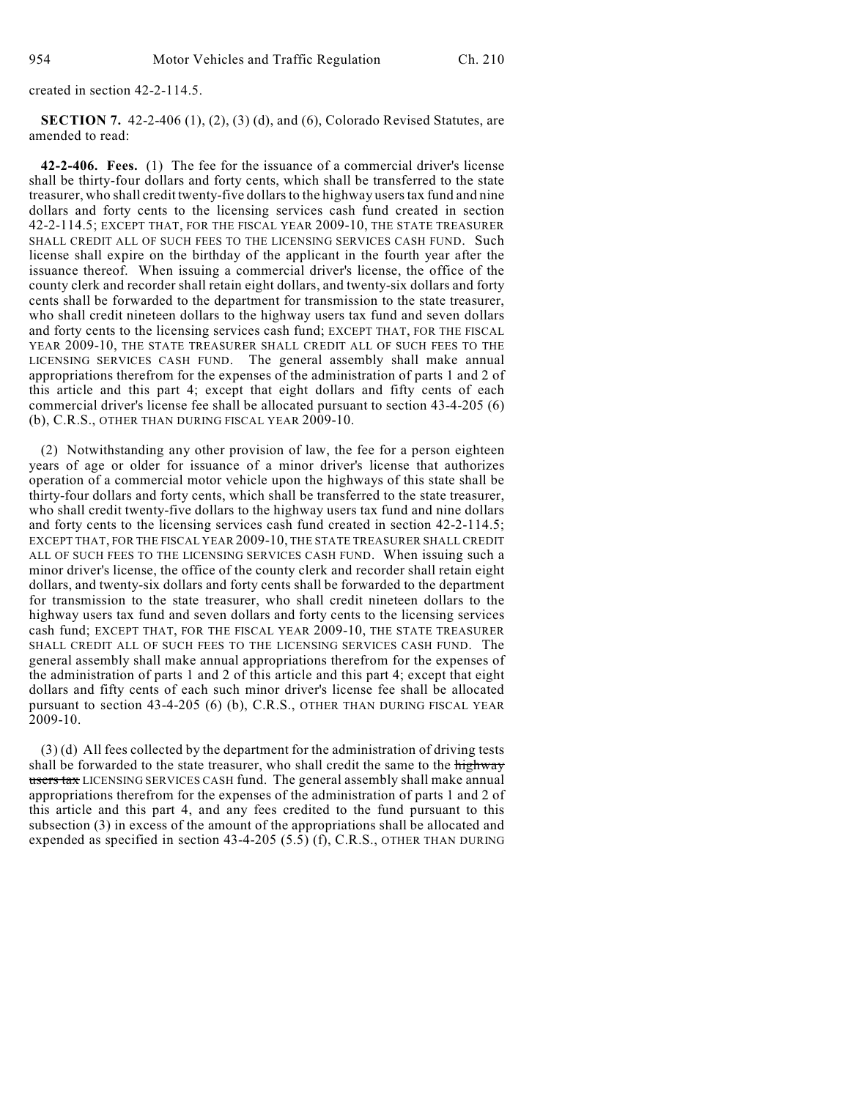created in section 42-2-114.5.

**SECTION 7.** 42-2-406 (1), (2), (3) (d), and (6), Colorado Revised Statutes, are amended to read:

**42-2-406. Fees.** (1) The fee for the issuance of a commercial driver's license shall be thirty-four dollars and forty cents, which shall be transferred to the state treasurer, who shall credit twenty-five dollars to the highway users tax fund and nine dollars and forty cents to the licensing services cash fund created in section 42-2-114.5; EXCEPT THAT, FOR THE FISCAL YEAR 2009-10, THE STATE TREASURER SHALL CREDIT ALL OF SUCH FEES TO THE LICENSING SERVICES CASH FUND. Such license shall expire on the birthday of the applicant in the fourth year after the issuance thereof. When issuing a commercial driver's license, the office of the county clerk and recorder shall retain eight dollars, and twenty-six dollars and forty cents shall be forwarded to the department for transmission to the state treasurer, who shall credit nineteen dollars to the highway users tax fund and seven dollars and forty cents to the licensing services cash fund; EXCEPT THAT, FOR THE FISCAL YEAR 2009-10, THE STATE TREASURER SHALL CREDIT ALL OF SUCH FEES TO THE LICENSING SERVICES CASH FUND. The general assembly shall make annual appropriations therefrom for the expenses of the administration of parts 1 and 2 of this article and this part 4; except that eight dollars and fifty cents of each commercial driver's license fee shall be allocated pursuant to section 43-4-205 (6) (b), C.R.S., OTHER THAN DURING FISCAL YEAR  $2009-10$ .

(2) Notwithstanding any other provision of law, the fee for a person eighteen years of age or older for issuance of a minor driver's license that authorizes operation of a commercial motor vehicle upon the highways of this state shall be thirty-four dollars and forty cents, which shall be transferred to the state treasurer, who shall credit twenty-five dollars to the highway users tax fund and nine dollars and forty cents to the licensing services cash fund created in section 42-2-114.5; EXCEPT THAT, FOR THE FISCAL YEAR 2009-10, THE STATE TREASURER SHALL CREDIT ALL OF SUCH FEES TO THE LICENSING SERVICES CASH FUND. When issuing such a minor driver's license, the office of the county clerk and recorder shall retain eight dollars, and twenty-six dollars and forty cents shall be forwarded to the department for transmission to the state treasurer, who shall credit nineteen dollars to the highway users tax fund and seven dollars and forty cents to the licensing services cash fund; EXCEPT THAT, FOR THE FISCAL YEAR 2009-10, THE STATE TREASURER SHALL CREDIT ALL OF SUCH FEES TO THE LICENSING SERVICES CASH FUND. The general assembly shall make annual appropriations therefrom for the expenses of the administration of parts 1 and 2 of this article and this part 4; except that eight dollars and fifty cents of each such minor driver's license fee shall be allocated pursuant to section 43-4-205 (6) (b), C.R.S., OTHER THAN DURING FISCAL YEAR  $2009-10.$ 

(3) (d) All fees collected by the department for the administration of driving tests shall be forwarded to the state treasurer, who shall credit the same to the highway users tax LICENSING SERVICES CASH fund. The general assembly shall make annual appropriations therefrom for the expenses of the administration of parts 1 and 2 of this article and this part 4, and any fees credited to the fund pursuant to this subsection (3) in excess of the amount of the appropriations shall be allocated and expended as specified in section 43-4-205  $(5.\overline{5})$  (f), C.R.S., OTHER THAN DURING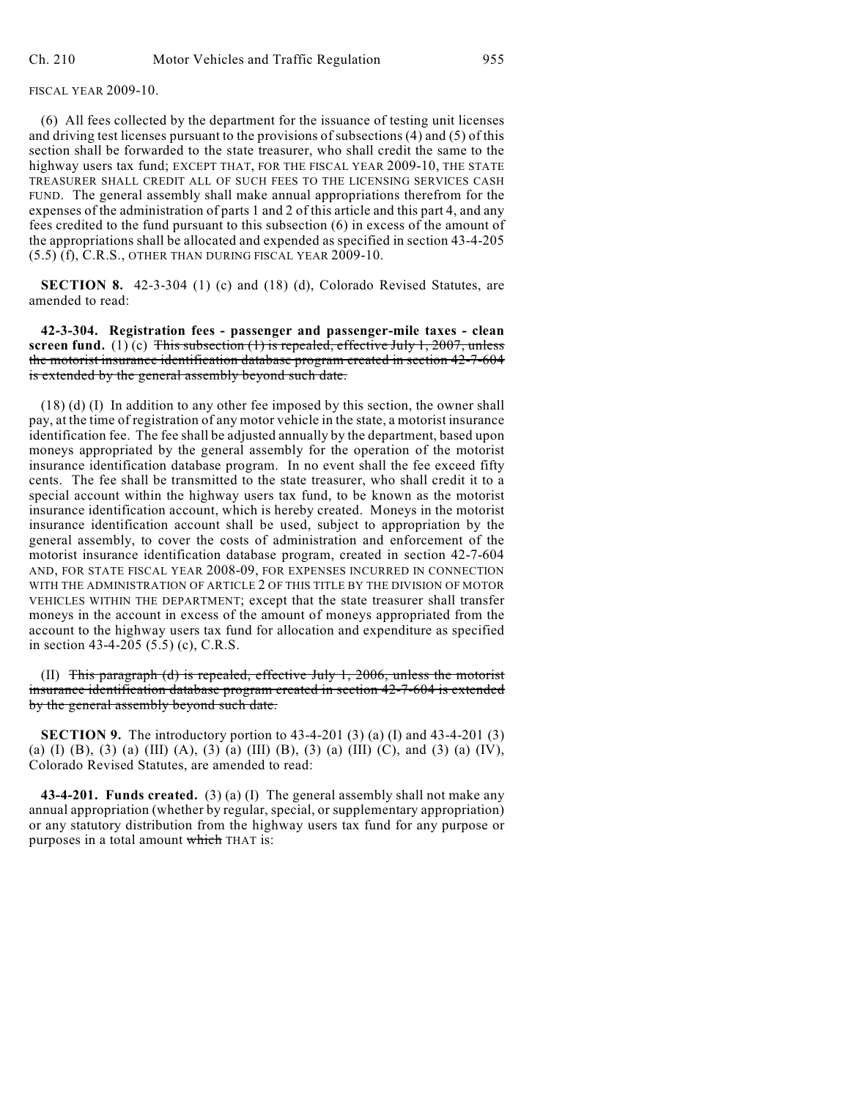FISCAL YEAR 2009-10.

(6) All fees collected by the department for the issuance of testing unit licenses and driving test licenses pursuant to the provisions of subsections (4) and (5) of this section shall be forwarded to the state treasurer, who shall credit the same to the highway users tax fund; EXCEPT THAT, FOR THE FISCAL YEAR 2009-10, THE STATE TREASURER SHALL CREDIT ALL OF SUCH FEES TO THE LICENSING SERVICES CASH FUND. The general assembly shall make annual appropriations therefrom for the expenses of the administration of parts 1 and 2 of this article and this part 4, and any fees credited to the fund pursuant to this subsection (6) in excess of the amount of the appropriations shall be allocated and expended as specified in section 43-4-205 (5.5) (f), C.R.S., OTHER THAN DURING FISCAL YEAR 2009-10.

**SECTION 8.** 42-3-304 (1) (c) and (18) (d), Colorado Revised Statutes, are amended to read:

**42-3-304. Registration fees - passenger and passenger-mile taxes - clean screen fund.** (1) (c)  $\overline{\text{This subsection (1) is repeated, effective July 1, 2007, unless}$ the motorist insurance identification database program created in section 42-7-604 is extended by the general assembly beyond such date.

(18) (d) (I) In addition to any other fee imposed by this section, the owner shall pay, at the time of registration of any motor vehicle in the state, a motorist insurance identification fee. The fee shall be adjusted annually by the department, based upon moneys appropriated by the general assembly for the operation of the motorist insurance identification database program. In no event shall the fee exceed fifty cents. The fee shall be transmitted to the state treasurer, who shall credit it to a special account within the highway users tax fund, to be known as the motorist insurance identification account, which is hereby created. Moneys in the motorist insurance identification account shall be used, subject to appropriation by the general assembly, to cover the costs of administration and enforcement of the motorist insurance identification database program, created in section 42-7-604 AND, FOR STATE FISCAL YEAR 2008-09, FOR EXPENSES INCURRED IN CONNECTION WITH THE ADMINISTRATION OF ARTICLE 2 OF THIS TITLE BY THE DIVISION OF MOTOR VEHICLES WITHIN THE DEPARTMENT; except that the state treasurer shall transfer moneys in the account in excess of the amount of moneys appropriated from the account to the highway users tax fund for allocation and expenditure as specified in section 43-4-205 (5.5) (c), C.R.S.

(II) This paragraph (d) is repealed, effective July  $1, 2006$ , unless the motorist insurance identification database program created in section 42-7-604 is extended by the general assembly beyond such date.

**SECTION 9.** The introductory portion to 43-4-201 (3) (a) (I) and 43-4-201 (3) (a) (I) (B), (3) (a) (III) (A), (3) (a) (III) (B), (3) (a) (III) (C), and (3) (a) (IV), Colorado Revised Statutes, are amended to read:

**43-4-201. Funds created.** (3) (a) (I) The general assembly shall not make any annual appropriation (whether by regular, special, or supplementary appropriation) or any statutory distribution from the highway users tax fund for any purpose or purposes in a total amount which THAT is: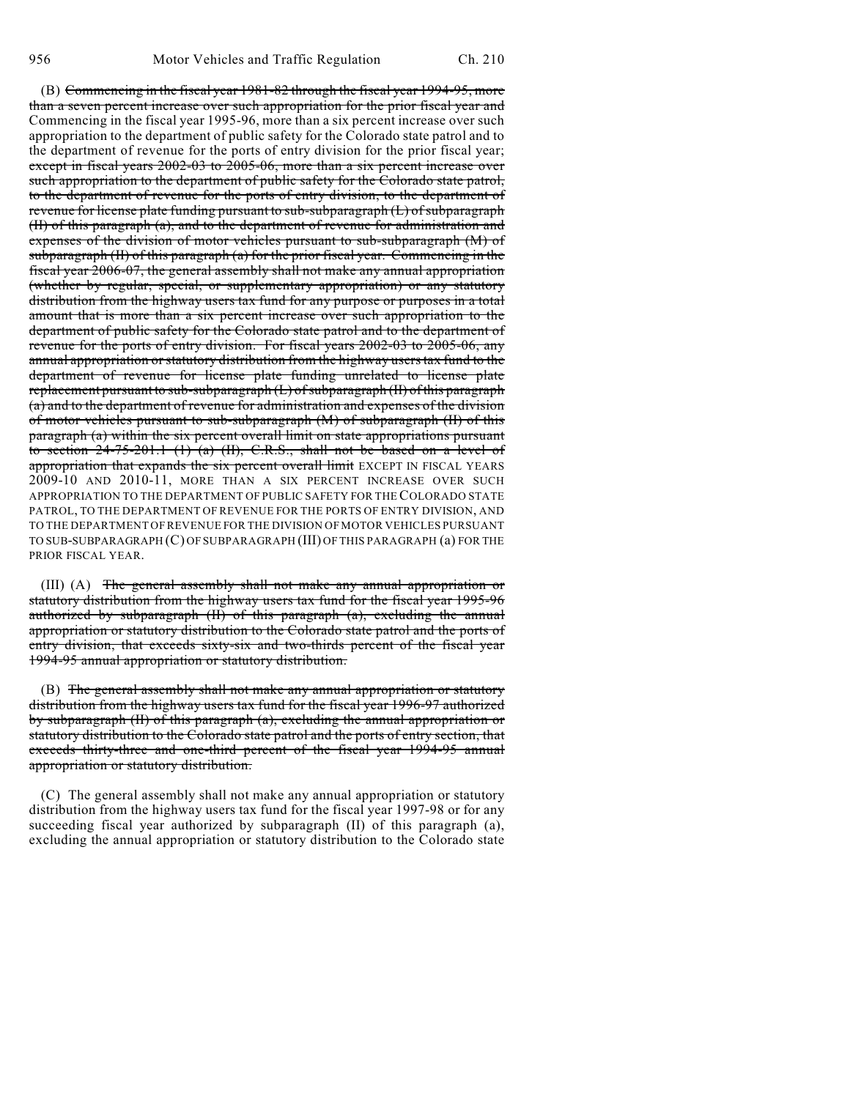(B) Commencing in the fiscal year 1981-82 through the fiscal year 1994-95, more than a seven percent increase over such appropriation for the prior fiscal year and Commencing in the fiscal year 1995-96, more than a six percent increase over such appropriation to the department of public safety for the Colorado state patrol and to the department of revenue for the ports of entry division for the prior fiscal year; except in fiscal years 2002-03 to 2005-06, more than a six percent increase over such appropriation to the department of public safety for the Colorado state patrol, to the department of revenue for the ports of entry division, to the department of revenue for license plate funding pursuant to sub-subparagraph (L) of subparagraph (II) of this paragraph (a), and to the department of revenue for administration and expenses of the division of motor vehicles pursuant to sub-subparagraph (M) of subparagraph (II) of this paragraph (a) for the prior fiscal year. Commencing in the fiscal year 2006-07, the general assembly shall not make any annual appropriation (whether by regular, special, or supplementary appropriation) or any statutory distribution from the highway users tax fund for any purpose or purposes in a total amount that is more than a six percent increase over such appropriation to the department of public safety for the Colorado state patrol and to the department of revenue for the ports of entry division. For fiscal years 2002-03 to 2005-06, any annual appropriation orstatutory distribution from the highway users tax fund to the department of revenue for license plate funding unrelated to license plate replacement pursuant to sub-subparagraph (L) of subparagraph (II) of this paragraph (a) and to the department of revenue for administration and expenses of the division of motor vehicles pursuant to sub-subparagraph (M) of subparagraph (II) of this paragraph (a) within the six percent overall limit on state appropriations pursuant to section  $24-75-201.1$  (1) (a) (II), C.R.S., shall not be based on a level of appropriation that expands the six percent overall limit EXCEPT IN FISCAL YEARS 2009-10 AND 2010-11, MORE THAN A SIX PERCENT INCREASE OVER SUCH APPROPRIATION TO THE DEPARTMENT OF PUBLIC SAFETY FOR THE COLORADO STATE PATROL, TO THE DEPARTMENT OF REVENUE FOR THE PORTS OF ENTRY DIVISION, AND TO THE DEPARTMENT OF REVENUE FOR THE DIVISION OF MOTOR VEHICLES PURSUANT TO SUB-SUBPARAGRAPH (C) OF SUBPARAGRAPH (III) OF THIS PARAGRAPH (a) FOR THE PRIOR FISCAL YEAR.

(III) (A) The general assembly shall not make any annual appropriation or statutory distribution from the highway users tax fund for the fiscal year 1995-96 authorized by subparagraph  $(H)$  of this paragraph  $(a)$ , excluding the annual appropriation or statutory distribution to the Colorado state patrol and the ports of entry division, that exceeds sixty-six and two-thirds percent of the fiscal year 1994-95 annual appropriation or statutory distribution.

(B) The general assembly shall not make any annual appropriation or statutory distribution from the highway users tax fund for the fiscal year 1996-97 authorized by subparagraph (II) of this paragraph (a), excluding the annual appropriation or statutory distribution to the Colorado state patrol and the ports of entry section, that exceeds thirty-three and one-third percent of the fiscal year 1994-95 annual appropriation or statutory distribution.

(C) The general assembly shall not make any annual appropriation or statutory distribution from the highway users tax fund for the fiscal year 1997-98 or for any succeeding fiscal year authorized by subparagraph (II) of this paragraph (a), excluding the annual appropriation or statutory distribution to the Colorado state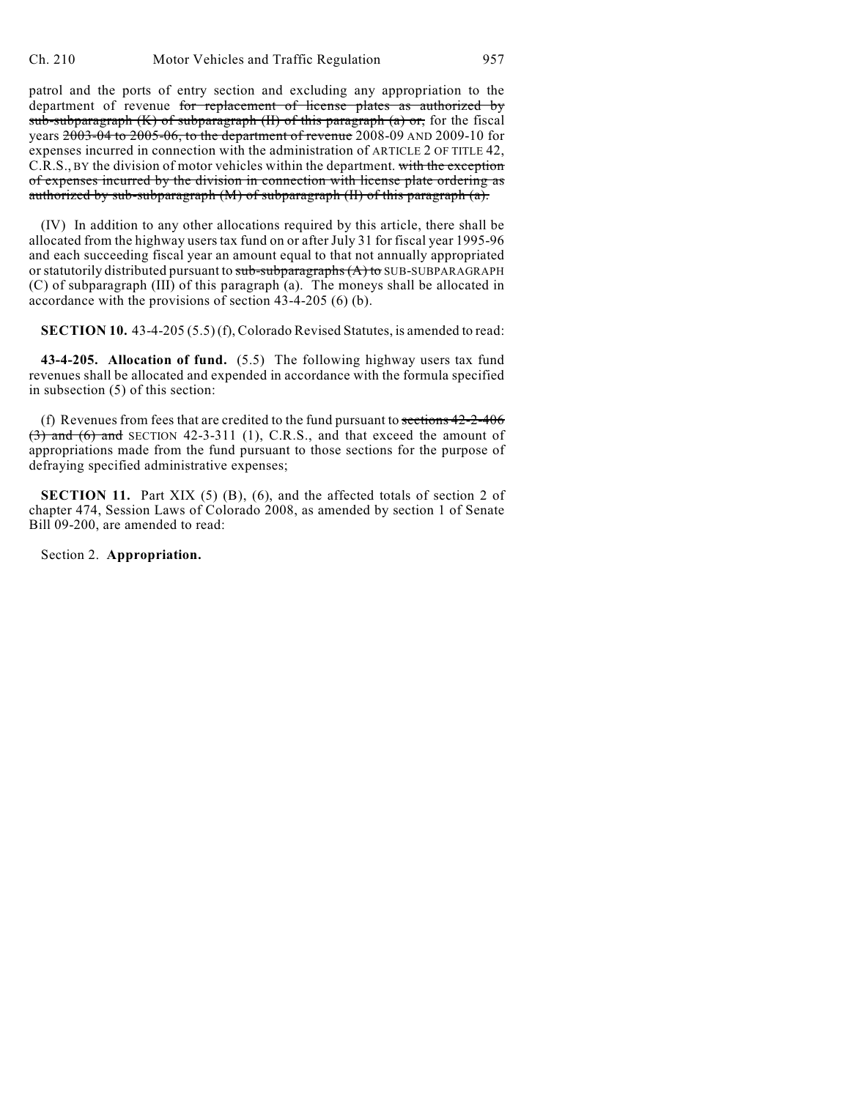patrol and the ports of entry section and excluding any appropriation to the department of revenue for replacement of license plates as authorized by sub-subparagraph  $(K)$  of subparagraph  $(H)$  of this paragraph  $(a)$  or, for the fiscal years 2003-04 to 2005-06, to the department of revenue 2008-09 AND 2009-10 for expenses incurred in connection with the administration of ARTICLE 2 OF TITLE 42, C.R.S., BY the division of motor vehicles within the department. with the exception of expenses incurred by the division in connection with license plate ordering as authorized by sub-subparagraph (M) of subparagraph (II) of this paragraph (a).

(IV) In addition to any other allocations required by this article, there shall be allocated from the highway users tax fund on or after July 31 for fiscal year 1995-96 and each succeeding fiscal year an amount equal to that not annually appropriated or statutorily distributed pursuant to  $sub-subparagrams(A)$  to SUB-SUBPARAGRAPH (C) of subparagraph (III) of this paragraph (a). The moneys shall be allocated in accordance with the provisions of section 43-4-205 (6) (b).

**SECTION 10.** 43-4-205 (5.5) (f), Colorado Revised Statutes, is amended to read:

**43-4-205. Allocation of fund.** (5.5) The following highway users tax fund revenues shall be allocated and expended in accordance with the formula specified in subsection (5) of this section:

(f) Revenues from fees that are credited to the fund pursuant to sections  $42-2-406$  $(3)$  and  $(6)$  and SECTION 42-3-311 (1), C.R.S., and that exceed the amount of appropriations made from the fund pursuant to those sections for the purpose of defraying specified administrative expenses;

**SECTION 11.** Part XIX (5) (B), (6), and the affected totals of section 2 of chapter 474, Session Laws of Colorado 2008, as amended by section 1 of Senate Bill 09-200, are amended to read:

Section 2. **Appropriation.**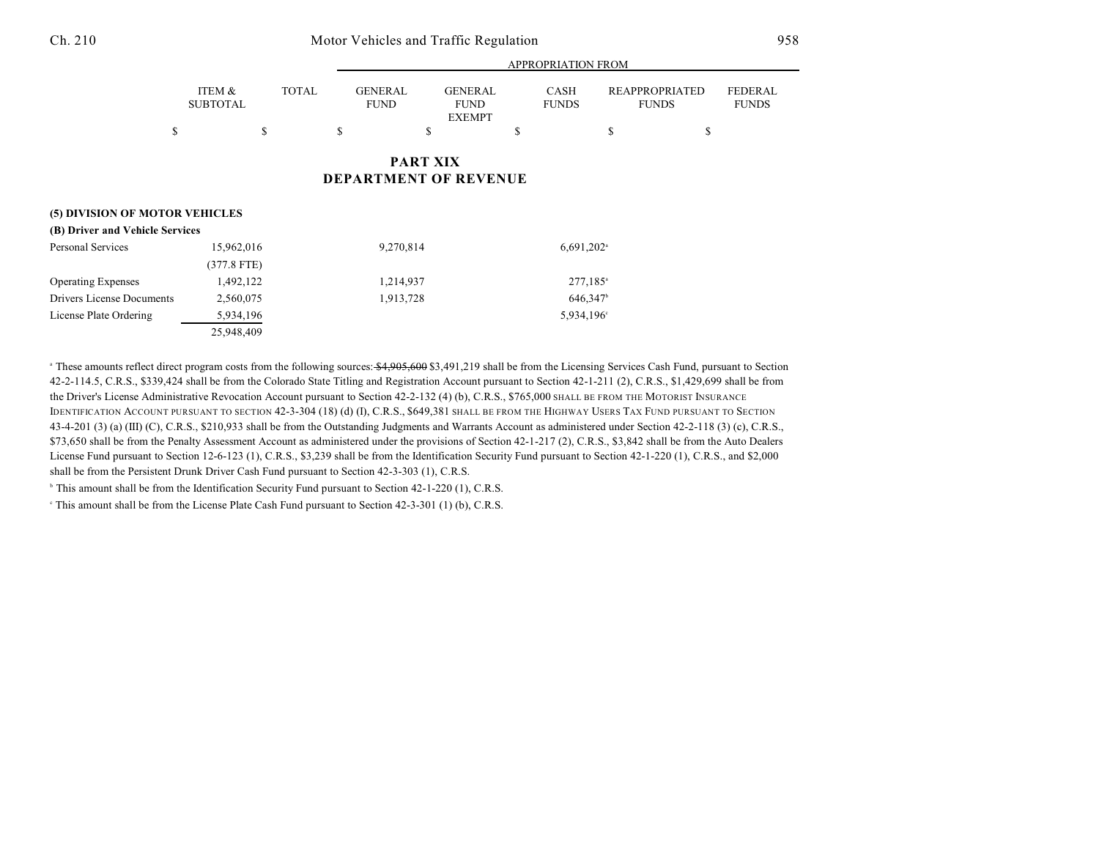|                                 | <b>APPROPRIATION FROM</b> |              |                               |                                                |                             |                                       |                                |
|---------------------------------|---------------------------|--------------|-------------------------------|------------------------------------------------|-----------------------------|---------------------------------------|--------------------------------|
|                                 | ITEM &<br><b>SUBTOTAL</b> | <b>TOTAL</b> | <b>GENERAL</b><br><b>FUND</b> | <b>GENERAL</b><br><b>FUND</b><br><b>EXEMPT</b> | <b>CASH</b><br><b>FUNDS</b> | <b>REAPPROPRIATED</b><br><b>FUNDS</b> | <b>FEDERAL</b><br><b>FUNDS</b> |
|                                 | \$                        | \$           | \$                            | \$                                             | \$                          | \$                                    | \$                             |
|                                 |                           |              |                               | <b>PART XIX</b>                                |                             |                                       |                                |
|                                 |                           |              | <b>DEPARTMENT OF REVENUE</b>  |                                                |                             |                                       |                                |
| (5) DIVISION OF MOTOR VEHICLES  |                           |              |                               |                                                |                             |                                       |                                |
| (B) Driver and Vehicle Services |                           |              |                               |                                                |                             |                                       |                                |
| Personal Services               |                           | 15,962,016   |                               | 9,270,814                                      |                             | $6,691,202$ <sup>a</sup>              |                                |
|                                 | $(377.8$ FTE)             |              |                               |                                                |                             |                                       |                                |
| <b>Operating Expenses</b>       | 1,492,122                 |              | 1,214,937                     |                                                | 277,185 <sup>a</sup>        |                                       |                                |
| Drivers License Documents       | 2,560,075                 |              | 1,913,728                     |                                                | 646,347 <sup>b</sup>        |                                       |                                |
| License Plate Ordering          | 5,934,196                 |              |                               |                                                | 5,934,196 <sup>c</sup>      |                                       |                                |

<sup>a</sup> These amounts reflect direct program costs from the following sources: \$4,905,600 \$3,491,219 shall be from the Licensing Services Cash Fund, pursuant to Section 42-2-114.5, C.R.S., \$339,424 shall be from the Colorado State Titling and Registration Account pursuant to Section 42-1-211 (2), C.R.S., \$1,429,699 shall be from the Driver's License Administrative Revocation Account pursuant to Section 42-2-132 (4) (b), C.R.S., \$765,000 SHALL BE FROM THE MOTORIST INSURANCE IDENTIFICATION ACCOUNT PURSUANT TO SECTION 42-3-304 (18) (d) (I), C.R.S., \$649,381 SHALL BE FROM THE HIGHWAY USERS TAX FUND PURSUANT TO SECTION 43-4-201 (3) (a) (III) (C), C.R.S., \$210,933 shall be from the Outstanding Judgments and Warrants Account as administered under Section 42-2-118 (3) (c), C.R.S., \$73,650 shall be from the Penalty Assessment Account as administered under the provisions of Section 42-1-217 (2), C.R.S., \$3,842 shall be from the Auto Dealers License Fund pursuant to Section 12-6-123 (1), C.R.S., \$3,239 shall be from the Identification Security Fund pursuant to Section 42-1-220 (1), C.R.S., and \$2,000 shall be from the Persistent Drunk Driver Cash Fund pursuant to Section 42-3-303 (1), C.R.S.

This amount shall be from the Identification Security Fund pursuant to Section  $42-1-220$  (1), C.R.S.

25,948,409

This amount shall be from the License Plate Cash Fund pursuant to Section  $42-3-301$  (1) (b), C.R.S.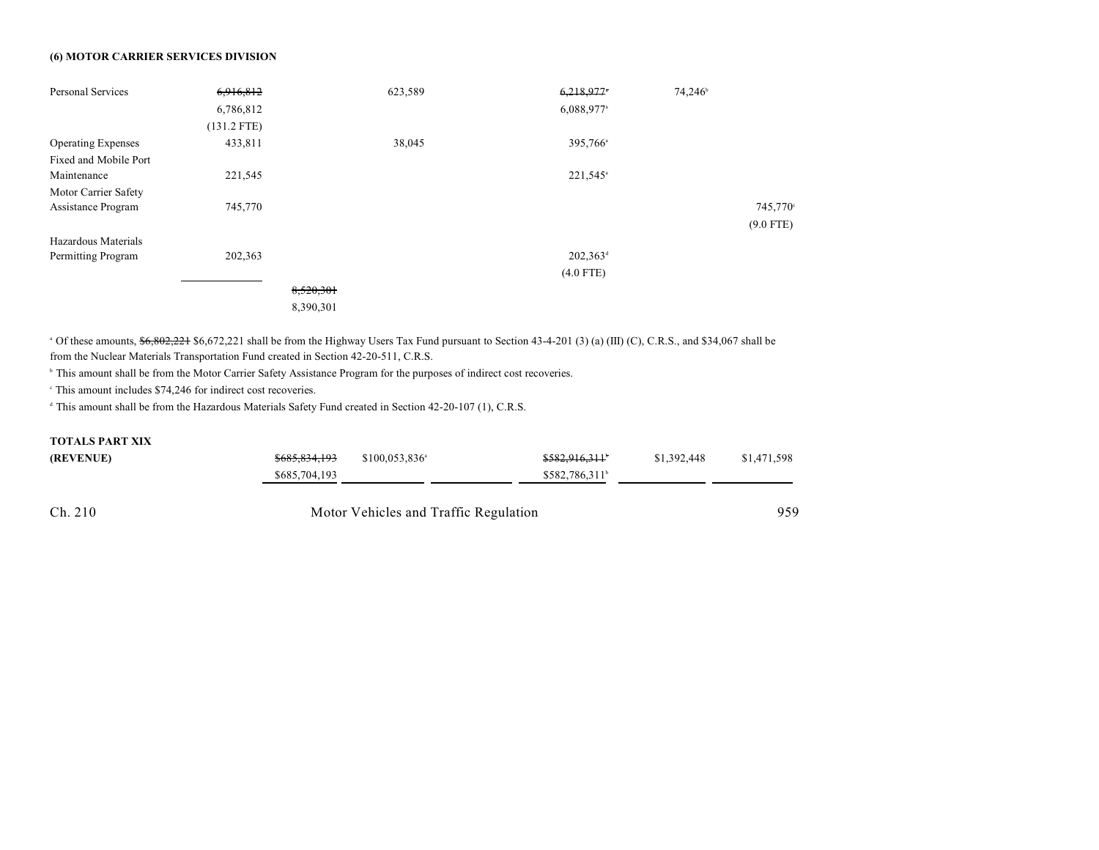## **(6) MOTOR CARRIER SERVICES DIVISION**

| Personal Services         | 6,916,812     |           | 623,589 | $6,218,977$ <sup>*</sup> | 74,246 <sup>b</sup> |             |
|---------------------------|---------------|-----------|---------|--------------------------|---------------------|-------------|
|                           | 6,786,812     |           |         | $6,088,977$ <sup>a</sup> |                     |             |
|                           | $(131.2$ FTE) |           |         |                          |                     |             |
| <b>Operating Expenses</b> | 433,811       |           | 38,045  | 395,766 <sup>a</sup>     |                     |             |
| Fixed and Mobile Port     |               |           |         |                          |                     |             |
| Maintenance               | 221,545       |           |         | 221,545 <sup>a</sup>     |                     |             |
| Motor Carrier Safety      |               |           |         |                          |                     |             |
| Assistance Program        | 745,770       |           |         |                          |                     | 745,770     |
|                           |               |           |         |                          |                     | $(9.0$ FTE) |
| Hazardous Materials       |               |           |         |                          |                     |             |
| Permitting Program        | 202,363       |           |         | $202,363^{\rm d}$        |                     |             |
|                           |               |           |         | $(4.0$ FTE)              |                     |             |
|                           |               | 8,520,301 |         |                          |                     |             |
|                           |               | 8,390,301 |         |                          |                     |             |

<sup>a</sup> Of these amounts,  $\frac{66,602,221}{2}$  \$6,672,221 shall be from the Highway Users Tax Fund pursuant to Section 43-4-201 (3) (a) (III) (C), C.R.S., and \$34,067 shall be from the Nuclear Materials Transportation Fund created in Section 42-20-511, C.R.S.

<sup>b</sup> This amount shall be from the Motor Carrier Safety Assistance Program for the purposes of indirect cost recoveries.

 $\degree$  This amount includes \$74,246 for indirect cost recoveries.

 $\textsuperscript{d}$  This amount shall be from the Hazardous Materials Safety Fund created in Section 42-20-107 (1), C.R.S.

## **TOTALS PART XIX**

| (REVENUE) | \$685,834,193 | $$100.053.836$ <sup>a</sup>           | \$582,916,311          | \$1,392,448 | \$1,471,598 |  |
|-----------|---------------|---------------------------------------|------------------------|-------------|-------------|--|
|           | \$685,704,193 |                                       | $$582,786,311^{\circ}$ |             |             |  |
|           |               |                                       |                        |             |             |  |
| Ch. 210   |               | Motor Vehicles and Traffic Regulation |                        |             |             |  |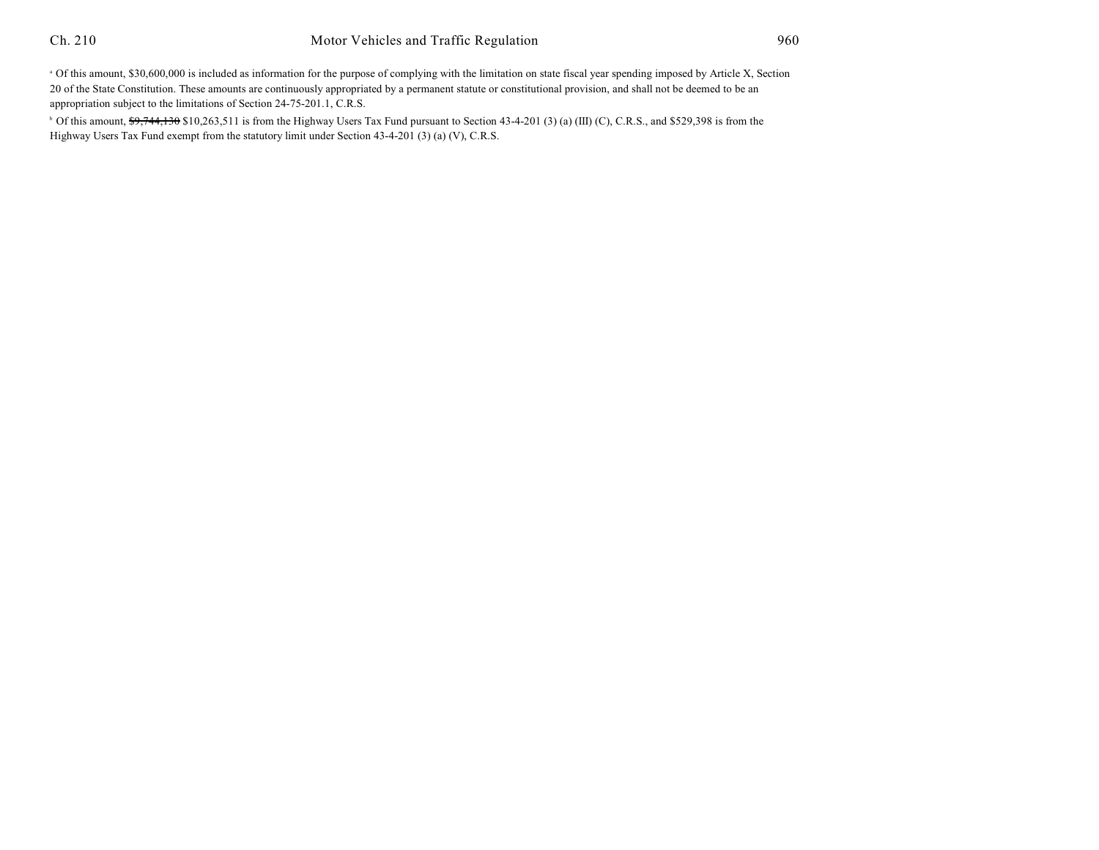<sup>a</sup> Of this amount, \$30,600,000 is included as information for the purpose of complying with the limitation on state fiscal year spending imposed by Article X, Section 20 of the State Constitution. These amounts are continuously appropriated by a permanent statute or constitutional provision, and shall not be deemed to be an appropriation subject to the limitations of Section 24-75-201.1, C.R.S.

<sup>b</sup> Of this amount, \$9,744,130 \$10,263,511 is from the Highway Users Tax Fund pursuant to Section 43-4-201 (3) (a) (III) (C), C.R.S., and \$529,398 is from the Highway Users Tax Fund exempt from the statutory limit under Section 43-4-201 (3) (a) (V), C.R.S.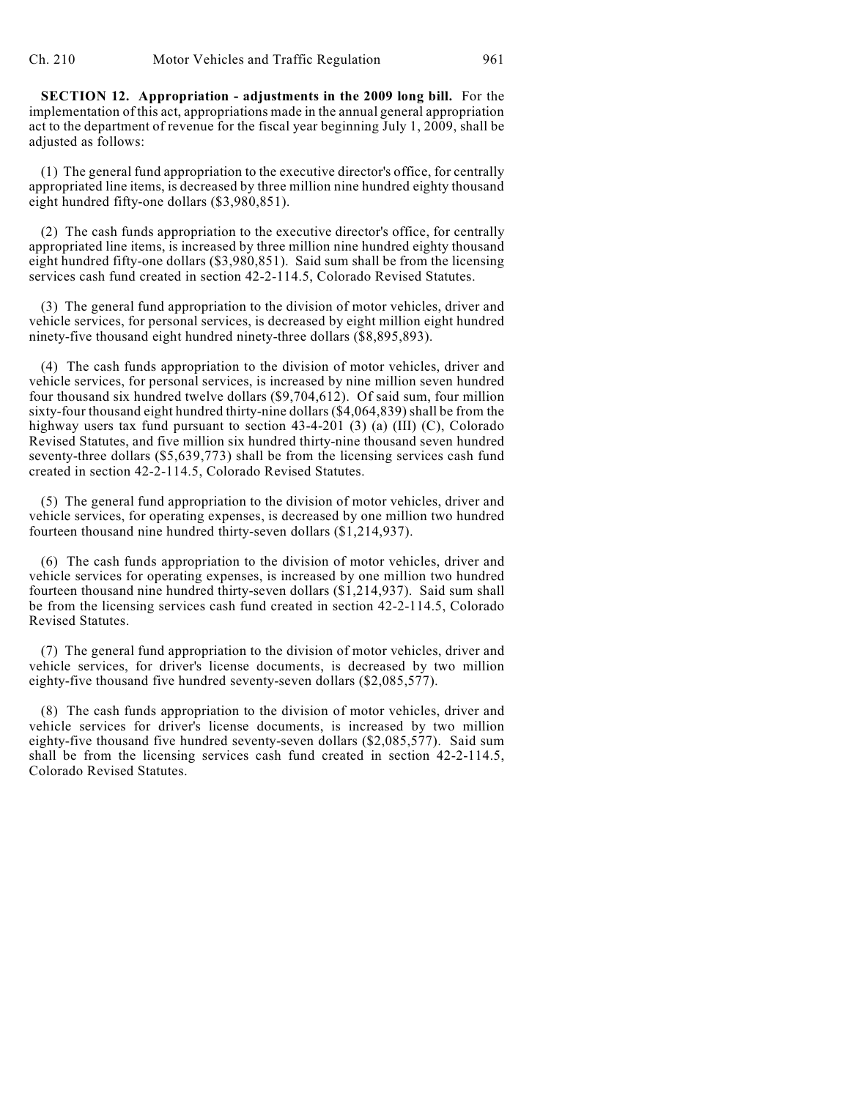**SECTION 12. Appropriation - adjustments in the 2009 long bill.** For the implementation of this act, appropriations made in the annual general appropriation act to the department of revenue for the fiscal year beginning July 1, 2009, shall be adjusted as follows:

(1) The general fund appropriation to the executive director's office, for centrally appropriated line items, is decreased by three million nine hundred eighty thousand eight hundred fifty-one dollars (\$3,980,851).

(2) The cash funds appropriation to the executive director's office, for centrally appropriated line items, is increased by three million nine hundred eighty thousand eight hundred fifty-one dollars (\$3,980,851). Said sum shall be from the licensing services cash fund created in section 42-2-114.5, Colorado Revised Statutes.

(3) The general fund appropriation to the division of motor vehicles, driver and vehicle services, for personal services, is decreased by eight million eight hundred ninety-five thousand eight hundred ninety-three dollars (\$8,895,893).

(4) The cash funds appropriation to the division of motor vehicles, driver and vehicle services, for personal services, is increased by nine million seven hundred four thousand six hundred twelve dollars (\$9,704,612). Of said sum, four million sixty-four thousand eight hundred thirty-nine dollars (\$4,064,839) shall be from the highway users tax fund pursuant to section 43-4-201 (3) (a) (III) (C), Colorado Revised Statutes, and five million six hundred thirty-nine thousand seven hundred seventy-three dollars (\$5,639,773) shall be from the licensing services cash fund created in section 42-2-114.5, Colorado Revised Statutes.

(5) The general fund appropriation to the division of motor vehicles, driver and vehicle services, for operating expenses, is decreased by one million two hundred fourteen thousand nine hundred thirty-seven dollars (\$1,214,937).

(6) The cash funds appropriation to the division of motor vehicles, driver and vehicle services for operating expenses, is increased by one million two hundred fourteen thousand nine hundred thirty-seven dollars (\$1,214,937). Said sum shall be from the licensing services cash fund created in section 42-2-114.5, Colorado Revised Statutes.

(7) The general fund appropriation to the division of motor vehicles, driver and vehicle services, for driver's license documents, is decreased by two million eighty-five thousand five hundred seventy-seven dollars (\$2,085,577).

(8) The cash funds appropriation to the division of motor vehicles, driver and vehicle services for driver's license documents, is increased by two million eighty-five thousand five hundred seventy-seven dollars (\$2,085,577). Said sum shall be from the licensing services cash fund created in section 42-2-114.5, Colorado Revised Statutes.